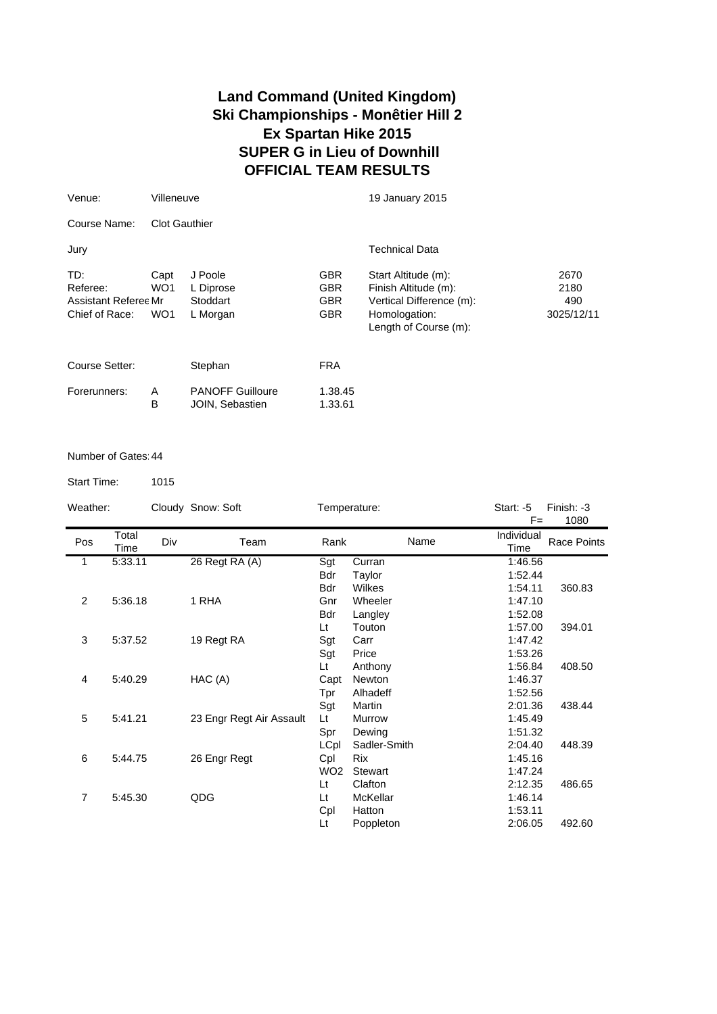## **Land Command (United Kingdom) Ski Championships - Monêtier Hill 2 Ex Spartan Hike 2015 SUPER G in Lieu of Downhill OFFICIAL TEAM RESULTS**

| Venue:                                                    | Villeneuve                                 |                                              |                                                      | 19 January 2015                                                                                                   |                                   |  |  |  |  |
|-----------------------------------------------------------|--------------------------------------------|----------------------------------------------|------------------------------------------------------|-------------------------------------------------------------------------------------------------------------------|-----------------------------------|--|--|--|--|
| Course Name:                                              | <b>Clot Gauthier</b>                       |                                              |                                                      |                                                                                                                   |                                   |  |  |  |  |
| Jury                                                      |                                            |                                              |                                                      | <b>Technical Data</b>                                                                                             |                                   |  |  |  |  |
| TD:<br>Referee:<br>Assistant Referee Mr<br>Chief of Race: | Capt<br>WO <sub>1</sub><br>WO <sub>1</sub> | J Poole<br>L Diprose<br>Stoddart<br>L Morgan | <b>GBR</b><br><b>GBR</b><br><b>GBR</b><br><b>GBR</b> | Start Altitude (m):<br>Finish Altitude (m):<br>Vertical Difference (m):<br>Homologation:<br>Length of Course (m): | 2670<br>2180<br>490<br>3025/12/11 |  |  |  |  |
| Course Setter:                                            |                                            | Stephan                                      | <b>FRA</b>                                           |                                                                                                                   |                                   |  |  |  |  |
| Forerunners:                                              | A<br>B                                     | <b>PANOFF Guilloure</b><br>JOIN, Sebastien   | 1.38.45<br>1.33.61                                   |                                                                                                                   |                                   |  |  |  |  |

## Number of Gates:44

Start Time: 1015

Weather: Cloudy Snow: Soft Temperature: Start: -5 Finish: -3  $F=$ Pos Total Time Div Team Rank Individual Individual Race Points 1 5:33.11 26 Regt RA (A) Sgt Curran 1:46.56 Bdr Taylor 1:52.44 Bdr Wilkes 1:54.11 360.83 2 5:36.18 1 RHA Gnr Wheeler 1:47.10 Bdr Langley 1:52.08 Lt Touton 1:57.00 394.01<br>
Sgt Carr 1:47.42 3 5:37.52 19 Regt RA Sgt Price 1:53.26<br>
Lt Anthony 1:56.84 Lt Anthony 1:56.84 408.50 4 5:40.29 HAC (A) Capt Newton 1:46.37 Tpr Alhadeff 1:52.56 Sgt Martin 2:01.36 438.44<br>
Lt Murrow 1:45.49 5 5:41.21 X 23 Engr Regt Air Assault Lt Murrow 1:45.49 Spr Dewing 1:51.32 LCpl Sadler-Smith 2:04.40 448.39 6 5:44.75 26 Engr Regt Cpl Rix 1:45.16 WO2 Stewart 1:47.24 Lt Clafton 2:12.35 486.65 7 5:45.30 QDG Lt McKellar 1:46.14 Cpl Hatton 1:53.11 Lt Poppleton 2:06.05 492.60 Name 1080